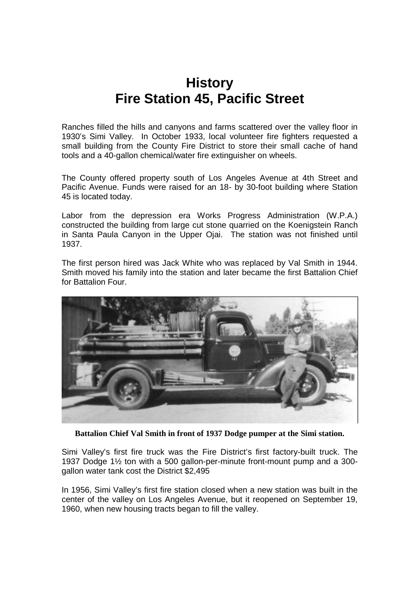## **History Fire Station 45, Pacific Street**

Ranches filled the hills and canyons and farms scattered over the valley floor in 1930's Simi Valley. In October 1933, local volunteer fire fighters requested a small building from the County Fire District to store their small cache of hand tools and a 40-gallon chemical/water fire extinguisher on wheels.

The County offered property south of Los Angeles Avenue at 4th Street and Pacific Avenue. Funds were raised for an 18- by 30-foot building where Station 45 is located today.

Labor from the depression era Works Progress Administration (W.P.A.) constructed the building from large cut stone quarried on the Koenigstein Ranch in Santa Paula Canyon in the Upper Ojai. The station was not finished until 1937.

The first person hired was Jack White who was replaced by Val Smith in 1944. Smith moved his family into the station and later became the first Battalion Chief for Battalion Four.



**Battalion Chief Val Smith in front of 1937 Dodge pumper at the Simi station.**

Simi Valley's first fire truck was the Fire District's first factory-built truck. The 1937 Dodge 1½ ton with a 500 gallon-per-minute front-mount pump and a 300 gallon water tank cost the District \$2,495

In 1956, Simi Valley's first fire station closed when a new station was built in the center of the valley on Los Angeles Avenue, but it reopened on September 19, 1960, when new housing tracts began to fill the valley.